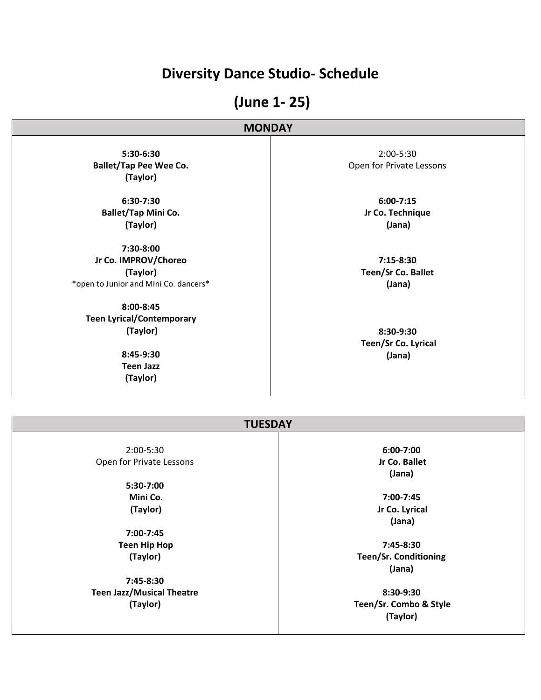## **Diversity Dance Studio- Schedule**

# **(June 1- 25)**

#### **MONDAY**

**5:30-6:30 Ballet/Tap Pee Wee Co. (Taylor)**

**6:30-7:30 Ballet/Tap Mini Co. (Taylor)**

**7:30-8:00 Jr Co. IMPROV/Choreo (Taylor)** \*open to Junior and Mini Co. dancers\*

**8:00-8:45 Teen Lyrical/Contemporary (Taylor)**

> **8:45-9:30 Teen Jazz (Taylor)**

2:00-5:30 Open for Private Lessons

> **6:00-7:15 Jr Co. Technique (Jana)**

**7:15-8:30 Teen/Sr Co. Ballet (Jana)**

**8:30-9:30 Teen/Sr Co. Lyrical (Jana)**

| <b>TUESDAY</b>                   |                              |
|----------------------------------|------------------------------|
| 2:00-5:30                        | 6:00-7:00                    |
| Open for Private Lessons         | Jr Co. Ballet<br>(Jana)      |
| 5:30-7:00                        |                              |
| Mini Co.                         | 7:00-7:45                    |
| (Taylor)                         | Jr Co. Lyrical<br>(Jana)     |
| 7:00-7:45                        |                              |
| <b>Teen Hip Hop</b>              | 7:45-8:30                    |
| (Taylor)                         | <b>Teen/Sr. Conditioning</b> |
|                                  | (Jana)                       |
| 7:45-8:30                        |                              |
| <b>Teen Jazz/Musical Theatre</b> | 8:30-9:30                    |
| (Taylor)                         | Teen/Sr. Combo & Style       |
|                                  | (Taylor)                     |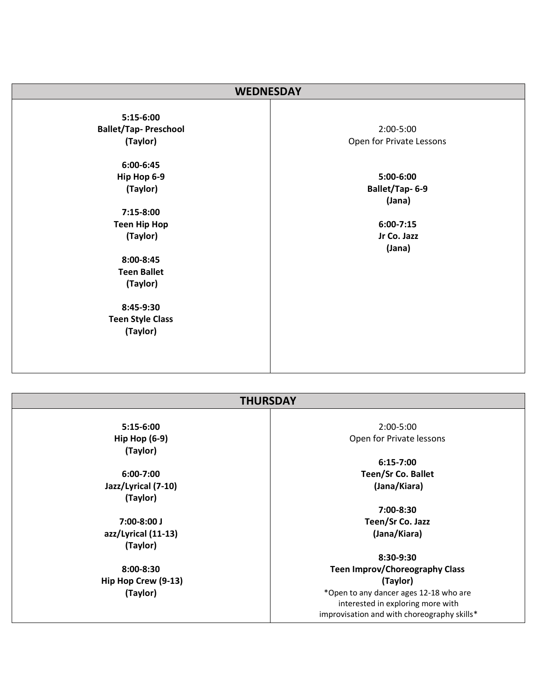| <b>WEDNESDAY</b>            |                          |
|-----------------------------|--------------------------|
| $5:15-6:00$                 |                          |
| <b>Ballet/Tap-Preschool</b> | 2:00-5:00                |
| (Taylor)                    | Open for Private Lessons |
| $6:00 - 6:45$               |                          |
| Hip Hop 6-9                 | 5:00-6:00                |
| (Taylor)                    | Ballet/Tap-6-9           |
|                             | (Jana)                   |
| 7:15-8:00                   |                          |
| <b>Teen Hip Hop</b>         | $6:00-7:15$              |
| (Taylor)                    | Jr Co. Jazz              |
|                             | (Jana)                   |
| 8:00-8:45                   |                          |
| <b>Teen Ballet</b>          |                          |
| (Taylor)                    |                          |
|                             |                          |
| 8:45-9:30                   |                          |
| <b>Teen Style Class</b>     |                          |
| (Taylor)                    |                          |
|                             |                          |
|                             |                          |
|                             |                          |

#### **THURSDAY**

**5:15-6:00 Hip Hop (6-9) (Taylor)**

**6:00-7:00 Jazz/Lyrical (7-10) (Taylor)**

**7:00-8:00 J azz/Lyrical (11-13) (Taylor)**

**8:00-8:30 Hip Hop Crew (9-13) (Taylor)**

2:00-5:00 Open for Private lessons

> **6:15-7:00 Teen/Sr Co. Ballet (Jana/Kiara)**

**7:00-8:30 Teen/Sr Co. Jazz (Jana/Kiara)**

**8:30-9:30 Teen Improv/Choreography Class (Taylor)**  \*Open to any dancer ages 12-18 who are interested in exploring more with improvisation and with choreography skills\*